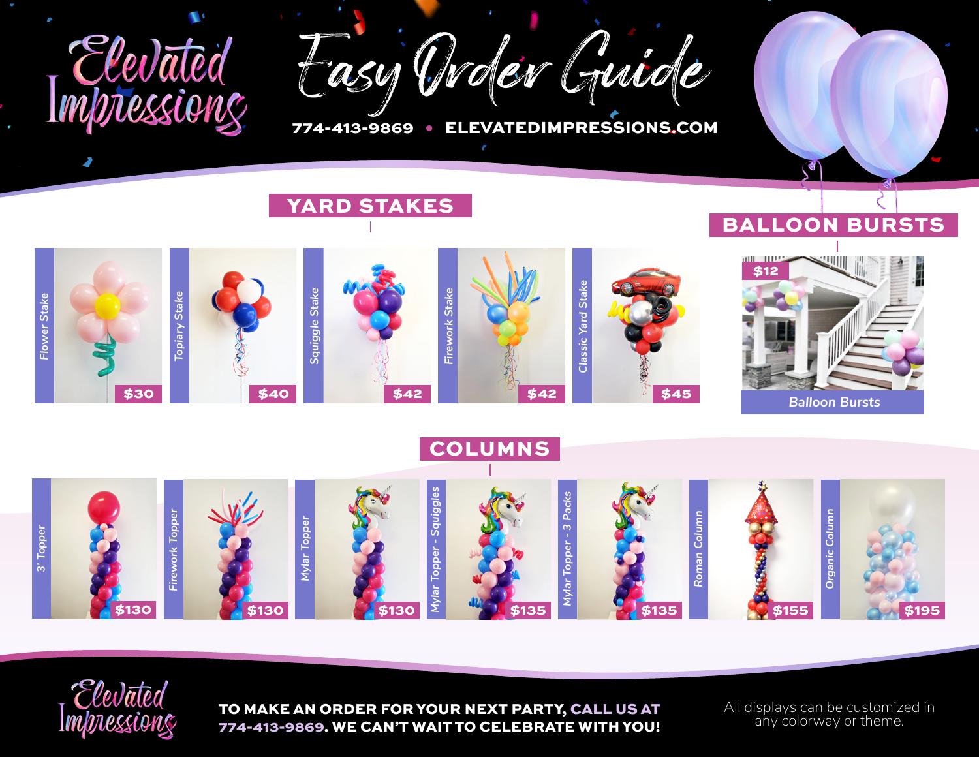

Easy Order Guide

774-413-9869 • ELEVATEDIMPRESSIONS.COM

## YARD STAKES

## BALLOON BURSTS

ď



COLUMNS





TO MAKE AN ORDER FOR YOUR NEXT PARTY, CALL US AT 774-413-9869. WE CAN'T WAIT TO CELEBRATE WITH YOU!

All displays can be customized in any colorway or theme.